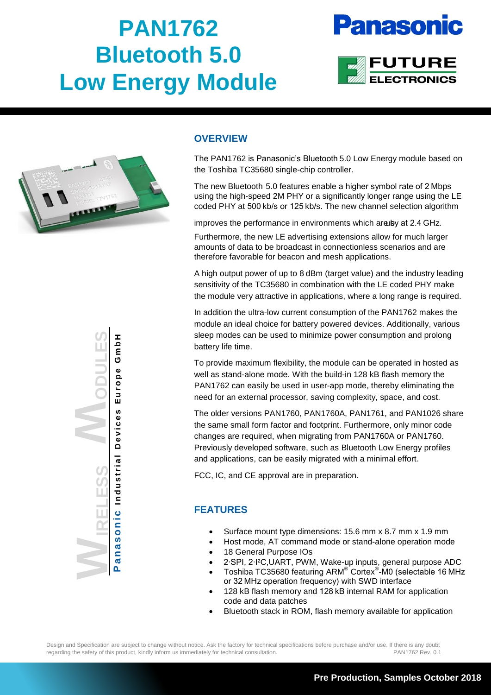# **PAN1762 Bluetooth 5.0 Low Energy Module**







#### **OVERVIEW**

The PAN1762 is Panasonic's Bluetooth 5.0 Low Energy module based on the Toshiba TC35680 single-chip controller.

The new Bluetooth 5.0 features enable a higher symbol rate of 2 Mbps using the high-speed 2M PHY or a significantly longer range using the LE coded PHY at 500 kb/s or 125 kb/s. The new channel selection algorithm

improves the performance in environments which are by at 2.4 GHz.

Furthermore, the new LE advertising extensions allow for much larger amounts of data to be broadcast in connectionless scenarios and are therefore favorable for beacon and mesh applications.

A high output power of up to 8 dBm (target value) and the industry leading sensitivity of the TC35680 in combination with the LE coded PHY make the module very attractive in applications, where a long range is required.

In addition the ultra-low current consumption of the PAN1762 makes the module an ideal choice for battery powered devices. Additionally, various sleep modes can be used to minimize power consumption and prolong battery life time.

To provide maximum flexibility, the module can be operated in hosted as well as stand-alone mode. With the build-in 128 kB flash memory the PAN1762 can easily be used in user-app mode, thereby eliminating the need for an external processor, saving complexity, space, and cost.

The older versions PAN1760, PAN1760A, PAN1761, and PAN1026 share the same small form factor and footprint. Furthermore, only minor code changes are required, when migrating from PAN1760A or PAN1760. Previously developed software, such as Bluetooth Low Energy profiles and applications, can be easily migrated with a minimal effort.

FCC, IC, and CE approval are in preparation.

# **FEATURES**

- Surface mount type dimensions: 15.6 mm x 8.7 mm x 1.9 mm
- Host mode, AT command mode or stand-alone operation mode
- 18 General Purpose IOs
- 2∙SPI, 2∙I²C,UART, PWM, Wake-up inputs, general purpose ADC
- Toshiba TC35680 featuring ARM® Cortex®-M0 (selectable 16 MHz or 32 MHz operation frequency) with SWD interface
- 128 kB flash memory and 128 kB internal RAM for application code and data patches
- Bluetooth stack in ROM, flash memory available for application

Design and Specification are subject to change without notice. Ask the factory for technical specifications before purchase and/or use. If there is any doubt regarding the safety of this product, kindly inform us immediately for technical consultation. PAN1762 Rev. 0.1